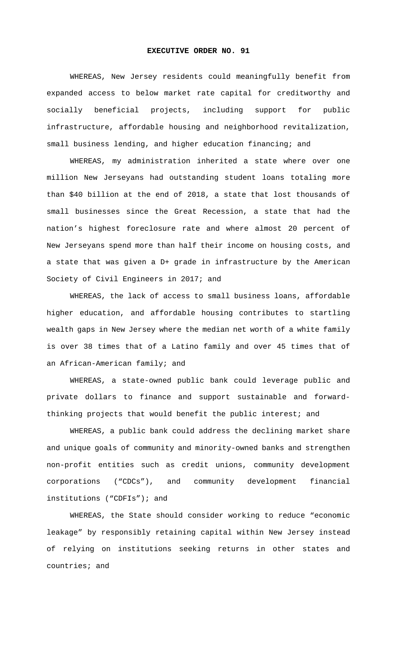## **EXECUTIVE ORDER NO. 91**

WHEREAS, New Jersey residents could meaningfully benefit from expanded access to below market rate capital for creditworthy and socially beneficial projects, including support for public infrastructure, affordable housing and neighborhood revitalization, small business lending, and higher education financing; and

WHEREAS, my administration inherited a state where over one million New Jerseyans had outstanding student loans totaling more than \$40 billion at the end of 2018, a state that lost thousands of small businesses since the Great Recession, a state that had the nation's highest foreclosure rate and where almost 20 percent of New Jerseyans spend more than half their income on housing costs, and a state that was given a D+ grade in infrastructure by the American Society of Civil Engineers in 2017; and

WHEREAS, the lack of access to small business loans, affordable higher education, and affordable housing contributes to startling wealth gaps in New Jersey where the median net worth of a white family is over 38 times that of a Latino family and over 45 times that of an African-American family; and

WHEREAS, a state-owned public bank could leverage public and private dollars to finance and support sustainable and forwardthinking projects that would benefit the public interest; and

WHEREAS, a public bank could address the declining market share and unique goals of community and minority-owned banks and strengthen non-profit entities such as credit unions, community development corporations ("CDCs"), and community development financial institutions ("CDFIs"); and

WHEREAS, the State should consider working to reduce "economic leakage" by responsibly retaining capital within New Jersey instead of relying on institutions seeking returns in other states and countries; and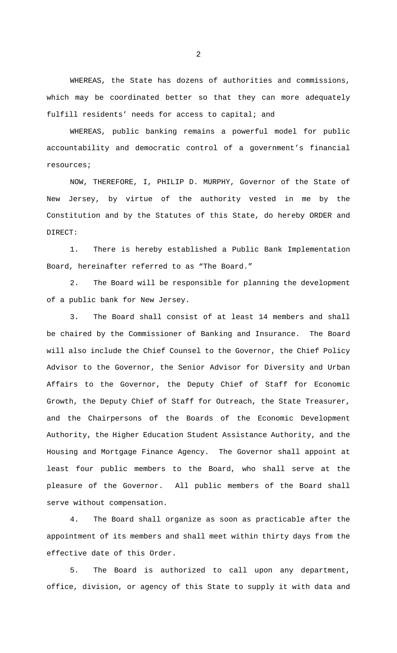WHEREAS, the State has dozens of authorities and commissions, which may be coordinated better so that they can more adequately fulfill residents' needs for access to capital; and

WHEREAS, public banking remains a powerful model for public accountability and democratic control of a government's financial resources;

NOW, THEREFORE, I, PHILIP D. MURPHY, Governor of the State of New Jersey, by virtue of the authority vested in me by the Constitution and by the Statutes of this State, do hereby ORDER and DIRECT:

1. There is hereby established a Public Bank Implementation Board, hereinafter referred to as "The Board."

2. The Board will be responsible for planning the development of a public bank for New Jersey.

3. The Board shall consist of at least 14 members and shall be chaired by the Commissioner of Banking and Insurance. The Board will also include the Chief Counsel to the Governor, the Chief Policy Advisor to the Governor, the Senior Advisor for Diversity and Urban Affairs to the Governor, the Deputy Chief of Staff for Economic Growth, the Deputy Chief of Staff for Outreach, the State Treasurer, and the Chairpersons of the Boards of the Economic Development Authority, the Higher Education Student Assistance Authority, and the Housing and Mortgage Finance Agency. The Governor shall appoint at least four public members to the Board, who shall serve at the pleasure of the Governor. All public members of the Board shall serve without compensation.

4. The Board shall organize as soon as practicable after the appointment of its members and shall meet within thirty days from the effective date of this Order.

5. The Board is authorized to call upon any department, office, division, or agency of this State to supply it with data and

2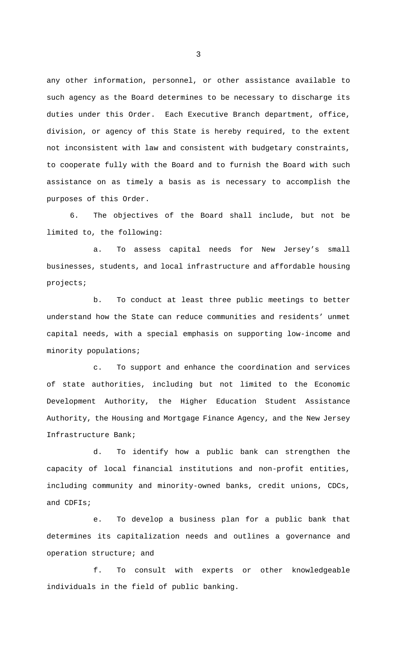any other information, personnel, or other assistance available to such agency as the Board determines to be necessary to discharge its duties under this Order. Each Executive Branch department, office, division, or agency of this State is hereby required, to the extent not inconsistent with law and consistent with budgetary constraints, to cooperate fully with the Board and to furnish the Board with such assistance on as timely a basis as is necessary to accomplish the purposes of this Order.

6. The objectives of the Board shall include, but not be limited to, the following:

a. To assess capital needs for New Jersey's small businesses, students, and local infrastructure and affordable housing projects;

b. To conduct at least three public meetings to better understand how the State can reduce communities and residents' unmet capital needs, with a special emphasis on supporting low-income and minority populations;

c. To support and enhance the coordination and services of state authorities, including but not limited to the Economic Development Authority, the Higher Education Student Assistance Authority, the Housing and Mortgage Finance Agency, and the New Jersey Infrastructure Bank;

d. To identify how a public bank can strengthen the capacity of local financial institutions and non-profit entities, including community and minority-owned banks, credit unions, CDCs, and CDFIs;

e. To develop a business plan for a public bank that determines its capitalization needs and outlines a governance and operation structure; and

f. To consult with experts or other knowledgeable individuals in the field of public banking.

3